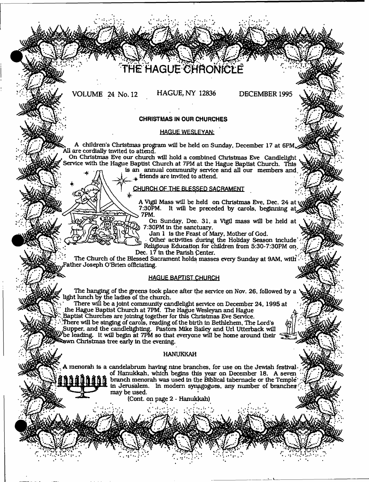# HE HAGUE CHRONIC

VOLUME 24 No. 12 HAGUE, NY 12836 DECEMBER 1995

- i

# **CHRISTMAS IN OUR CHURCHES**

## HAGUE WESLEYAN;

A children's Christmas program will be held on Sunday, December 17 at 6PM, All are cordially invited to attend.

On Christinas Eve our church will hold a combined Christmas Eve Candlelight Service with the Hague Baptist Church at 7PM at the Hague Baptist Church, This is an annual community service and all our members and.

 $\pm$  friends are invited to attend.

**! CHURCH OF THE BLESSED SACRAMENT**

\* '• A Vigil Mass will be held on Christmas Eve, Dec. 24 at 7:30PM. It will be preceded by carols, beginning a 7PM.

On Sunday, Dec. 31, a Vigil mass will be held at 7:30PM in the sanctuary.

Jan 1 is the Feast of Mary, Mother of God.

Other activities during the Holiday Season include' Religious Educatiop for children from 5:30-7:30PM on. Dec. 17 in the Parish Center.

The Church of the Blessed Sacrament holds masses every Sunday at 9AM, with rather Joseph O'Brien officiating.

# **HAGUE BAPTIST QHURCH**

The hanging of the greens took place after the service on Nov. 26, followed by a light lunch by the ladies of the church.

There will be a joint community candlelight service on December 24, 1995 at the Hague Baptist Church at 7PM. The Hague Wesleyan and Hague a

Baptist Churches are joining together for this Christmas Eve Service. .There will be singing of carols, reading of the birth In Bethlehem, The Lord's Supper, and the candlellghting. Pastors Mike Bailey and Url Utterback will 'be leading. It will begin at 7PM so that everyone will be home around their awn Christmas tree early in the evening.

#### HANUKKAH

A menorah is a candelabrum having nine branches, for use on the Jewish festivalof Hanukkah, which begins this year on December 18. A seven branch menorah was used in the Biblical tabernacle or the Temple'; in Jerusalem. In modem synagogues, any number of branches •' may be used.

*\*\*\*• \*%* \* *'\**

 $\ddot{\phantom{1}}$ 

{Cont. on page 2 - Hanukkah)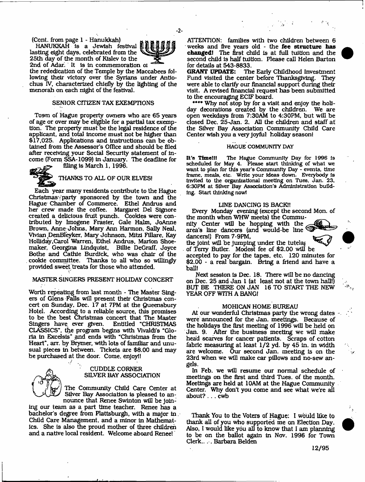(Cont. from page 1 - Hanukkah)

HANUKKAH Is a Jewish festival lasting eight days, celebrated from the 25th day of the month of Kislev to the 2nd of Adar. It is In commemoration oi



the rededication of the Temple by the Maccabees following their victory over the Syrians under Anttochus IV, characterized chiefly by the lighting of the menorah on each night of the festival.

# SENIOR CITIZEN TAX EXEMPTIONS

Town of Hague property owners who are 65 years of age or over may be eligible for a partial tax exemption. The property must be the legal residence of the applicant, and total income must not be higher than \$17,025. Applications and Instructions can be obtained from the Assessor's Office and should be filed after receiving your Social Security statement of Income (Form SSA-1099) In January. The deadline for filing is March 1, 1996.

THANKS TO ALL OF OUR ELVES!

Each year many residents contribute to the Hague Christmas'; party sponsored by the town and the Hague Chamber of Commerce. Ethel Andrus and her crew made the coffee. Margaret Del Signore created a delicious fruit punch. Cookies were contributed by Imogene Frasier, Gale Halm, JoAnne Brown, Anne Johns, Mary Ann Hannon, Sally Neal, Vivian DenBleyker, Mary Johnson, Mitzi Fillare, Kay Holliday,Carol Warren, Ethel Andrus, Marlon Shoemaker, Georgina Lindquist, Billie DeGraff, Joyce Bo the and Cathie Burdick, who was chair of the cookie committee. Thanks to all who so willingly provided sweet treats for those who attended.

#### MASTER SINGERS PRESENT HOLIDAY CONCERT

Worth repeating from last month - The Master Singers of Glens Falls will present their Christmas concert on Sunday. Dec. 17 at 7PM at the Queensbury Hotel. According to a reliable source, this promises to be the best Christmas concert that The Master Singers have, ever given. Entitled "CHRISTMAS CLASSICS", d^e program begins with Vivaldi's "Gloria in Excelsis" and ends with "Christmas from the Heart", arr. by Brymer, with lots of familiar and unusual pieces in between. Tickets are \$8.00 and may be purchased at the door. Come, enjoyi!



#### CUDDLE CORNER SILVER BAY ASSOCIATION

The Community Child Care Center at Silver Bay Association is pleased to announce that Renee Swinton will be join-

ing our team as a part time teacher. Renee has a bachelor's degree from Plattsburgh, with a major in . Child Care Management, and a minor in Mathematics. She Is also the proud mother of three children and a native local resident. Welcome aboard Renee!

ATTENTION: families with two children between 6 weeks and five years old - the **fee structure has changed!** The first child is at full tuition and the second child Is half tuition. Please call Helen Barton

for details at 543-8833.<br>GRANT UPDATE: Th The Early Childhood Investment Fund visited the center before Thanksgiving. They were able to clarify our financial support during their visit. A revised financial request has been submitted to the encouraging ECIF board.

\*\*\*\* Why not stop by for a visit and enjoy the holiday decorations created by the children. We are open weekdays from 7:30AM to 4:30PM, but will be closed Dec. 25-Jan. 2. All the children and staff at the Silver Bay Association Community Child Care Center wish you a very Joyful holiday season!

#### HAGUE COMMUNITY DAY

It's Timelll The Hague Community Day for 1996 is scheduled for May 4. Please start thinking of what we want to plan for this year's Community Day - events, time frame, meals, etc. Write your ideas down. Everybody Is Invited to the organizational meeting on Tues, Jan. 23, 6:30PM at Silver Bay Association's Administration building. Start thinking nowl

#### LINE DANCING IS BACK!!

Every Monday evening (except the second Mon. of the month when WHW meets) the Commu-

nity Center will be hopping with the area's line dancers (and would-be line dancers!) From 7-9PM,



the joint will be jumping under the tutelaf of Teny Butler. Modest fee of \$2.00 will be accepted to pay for the tapes, etc. 120 minutes for \$2.00 - a real bargain. Bring a firiend and have a hall!

Next session is Dec. 18. There will be no dancing on pec. 25 and Jan I (at least not at the town hall!) BUT BE THERE ON JAN 16 TO START THE NEW YEAR OFF WITH A BANG!

#### MOHICAN HOME BUREAU

At our wonderful Christmas party the wrong dates  $\sim$ were announced for the Jan. meetings. Because of the holidays the first meeting of 1996 will be held on Jan. 9, After the business meeting we will make head scarves for cancer patients. Scraps of cotton fabric measuring at least 1/2 yd. by 45 in. in width are welcome. Our second Jan. meeting is on the 23rd when we will make car pillows and no-sew angels.

In Feb. we will resume our normal schedule of meetings on the first and third Tues. of the month. Meetings are hdd at 10AM at the Hague Community Center. Why don't you come and see what we're all about? . . . cwb

Thank You to the Voters of Hague: I would like to thank all of you who supported me on Election Day. Also, 1 would like you all to know that I am planning to be on the ballot again in Nov. 1996 for Town Clerk... . Barbara Belden



- **2**-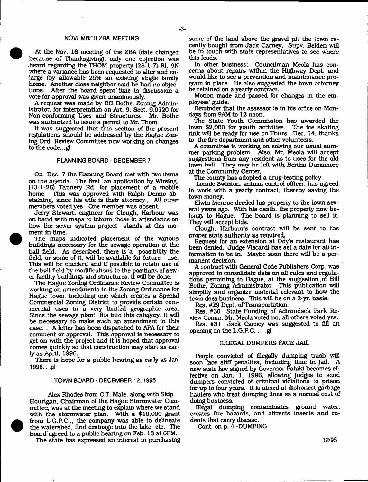#### **NOVEMBERZBA MEETING**

At the Nov. 16 meeting of the ZBA (date changed because of Thanksgiving), only one objection was heard regarding the THOM property (28-1-7) Rt. 9N where a variance has been requested to alter and enlarge (by allowable 25% an existing single family home. Another close neighbor said he had no objections. After the board spent time in discussion a vote for approval was given unanimously.

A request was made by Bill Bothe, Zoning Administrator, for Interpretation on Art. 9, Sect. 9.0120 for Non-conforming Uses and Structures, Mr. Bothe was authorized to Issue a permit to Mr. Thom.

It was suggested that this section of the present regulations should be addressed by the Hague Zoning Ord. Review Committee now working on changes to the code...g)

#### **PLANNING BOARD - DECEMBER 7**

On Dec. 7 the Planning Board met with two Items on the agenda. The first, an application by Wlrsing, (13-1-26) Tannery Rd. for placement of a mobile home. This was approved with Ralph Denno abstaining, since his wife is their attorney., All other members voted yes. One member was absent.

Jerry Stewart, engineer for Clough, Harbour was on hand with maps to inform those in attendance on how the sewer system project stands at this moment in time.

The maps indicated placement of the various buildings necessary for the sewage operation at the ball field. As described, there Is a possibility the field, or some of it, will be available for future use. This will be checked and If possible to retain use of the ball field by modifications to the positions of sewer facility buildings and structures, it will be done.

The Hague Zoning Ordinance Review Committee is working on amendments to the Zoning Ordinance for. Hague town, including one which creates a Special Commercial Zoning District to provide certain commercial uses in a very limited geographic area. Since the sewage plant fits Into this category, It will be necessary to make such an amendment in this case. . A letter has been dispatched to APA for their comment or approval. This approval Is necessary to get on with the project and it is hoped that approval comes quickly so that construction may start as early as April, 1996.

There Is hope for a public hearing as early as Jan. **1S96.. ,gl**

#### **TOWN BOARD - DECEMBER 12,1995**

Alex Rhodes from C.T. Male, along with Skip Hourigan, Chairman of the Hague Storm water Committee, was at the meeting to explain where we stand with the stormwater plan. With a \$10,000 grant from L.G.P.C.,, the company was able to delineate the watershed, find drainage Into the lake, etc. The board agreed to a public hearing on Feb. 13 at 6PM.

The state has expressed an interest In purchasing

some of the land above the gravel pit the town recently bought from Jack Carney. Supv. Belden will be In touch with state representatives to see where this leads.

In other business: Councilman Meola has concerns about repairs within the Highway Dept, and would like to see a prevention and maintenance program in place. He also suggested the town attorney be retained on a yearly contract.

Motion made and passed for changes in the employees\* guide.

Reminder that the assessor Is In his office on Mondays from 9AM to 12 noon.

The State Youth Commission has awarded the town \$2,000 for youth activities. The ice skating rink will be ready for use on Thurs., Dec. 14, thanks to the fire department and other volunteers.

A committee is working on solving our usual sum mer parking problem. Also, Mr. Meola will accept suggestions from any resident as to uses for the old town hall. They may be left with Bertha Dunsmore at the Community Center.

The county has adopted a drug-testing policy.

Lonnie Swinton, animal control officer, has agreed to work with a yearly contract, thereby saving the town money.

Elwin Monroe deeded his property to the town several years ago. With his death, the property now belongs to Hague. The board Is planning to sell it. They will accept bids.

Clough, Harbour's contract will be sent to the proper state authority as required.

Request for an extension at Ody's restaurant has been denied. Judge Viscardi has set a date for all Information to be In. Maybe soon there will be a permanent decision.

A contract with General Code Publishers Corp. was approved to consolidate data on all rules Arid regulations pertaining to Hague, at the suggestion of Bill Bothe, Zoning Administrator. This publication will simplify and organize material relevant to how the town does business. This will be on a 2-yr. basis.

Res, #29 Dept, of Transportation.

Res. #30 State Funding of Adirondack Park Review Comm. Mr. Meola voted no, all others voted yes.

Res. #31 Jack Camey was suggested to fill an opening on the L.G.P.C. . . .gl

#### ILLEGAL DUMPERS FACE JAIL

People convicted of Illegally dumping trash will soon face stiff penalties, Including time in jail. A new state law signed by Governor Pataki becomes effective on Jan. 1, 1996, allowing Judges to send dumpers convicted of criminal violations to prison for up to four years. It Is aimed at dishonest garbage haulers who treat dumping fines as a normal cost of doing business.

Illegal dumping contaminates ground water, creates fire hazards, and attracts Insects and rodents that carry disease.

Cont. on p. 4 -DUMPING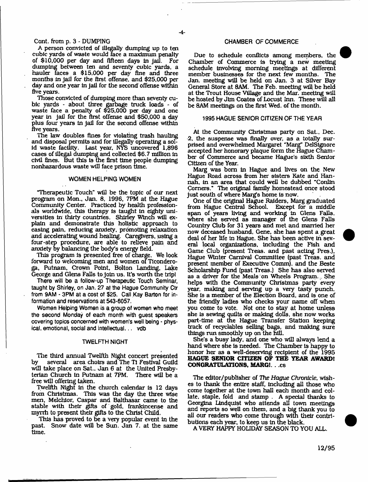### Cont. from p. 3 - DUMPING

A person convicted of illegally dumping up to ten cubic yards of waste would face a maximum penalty of \$10,000 per day and fifteen days In Jail. For dumping between ten and seventy cubic yards, a hauler faces a \$15,000 per day fine and three months In jail for the first offense, and \$25,000 per day and one year in jail for the second offense within five years.

Those convicted of dumping more than seventy cubic yards - about three garbage truck loads - of waste face a penalty of \$25,000 per day and one year in Jail for the first offense and \$50,000 a day plus four years in jail for the second offense within five years.

The law doubles fines for violating trash hauling and disposal permits and for illegally operating a solid waste facility. Last year. NYS uncovered 1,896 cases of Illegal dumping and collected \$6.7 million in civil fines. But this Is the first time people dumping nonhazardous waste will face prison time.

#### **WOMEN HELPING WOMEN**

"Therapeutic Touch" will be the topic of our next program on Mon., Jan. 8, 1996, 7PM at the Hague Community Center. Practiced by health professionals worldwide, this therapy is taught in eighty universities in thirty countries. Shirley Winch will explain and demonstrate this holistic approach to easing pain, reducing anxiety, promoting relaxation and accelerating wound healing. Caregivers, using a four-step procedure, are able to relieve pain and anxiety by balancing the body's energy field.

This program is presented free of charge. We look forward to welcoming men and women of Ticonderoga, Putnam, Crown Point, Bolton Landing, Lake George and Glens Falls to join us. It's worth the trip!

**There will be a follow-up Therapeutic Touch Seminar, taught by Shirley, on Jan. 27 at the Hague Community Ctr from 9AM - 3PM at a cost of \$25. Call Kay Barton for information and reservations at 543-6057.**

**Women Helping Women is a group of women who meet the second Monday of each month with guest speakers covering topics concerned with women's well being - physical, emotional, social and intellectual... vdb**

#### **TWELFTH NIGHT**

The third annual Twelfth Night concert presented<br>by several area choirs and The Ti Festival Guild by several area choirs and The Ti Festival Guild will take place on Sat., Jan 6 at the United Presbyterian Church in Putnam at 7PM. There will be a free will offering taken.

Twelfth Night in the church calendar is 12 days from Christmas. This was the day the three wise men, Melchior, Caspar and Balthasar came to the stable with their gifts of gold, frankincense and myrrh to present their gifts to the Christ Child.

This has proved to be a very popular event in the past. Snow date will be Sun. Jan 7. at the same time.

#### **CHAMBER OF COMMERCE**

Due to schedule conflicts among members, the Chamber of Commerce is trying a new meeting schedule Involving morning meetings at different member businesses for the next few months. The Jan. meeting will be held on Jan. 3 at Silver Bay General Store at 8AM. The Feb. meeting will be held at the Trout House Village and the Mar. meeting will be hosted by Jim Coates of Locust Inn. These will all be 8AM meetings on the first Wed. of the month,

#### **1995 HAGUE SENIOR CITIZEN OF THE YEAR**

At the Community Christmas party on Sat., Dec. 2, the suspense was finally over, as a totally surprised and overwhelmed Margaret ''Marg" DelSignore accepted her honorary plaque form the Hague Chamber of Commerce and became Hague's sixth Senior Citizen of the Year.

Marg was bora in Hague and lives on the New Hague Road across from her sisters Kate and Hannah, in an area that could well be dubbed "Conlln Corners." The original family homestead once stood just south of where Marg's home is now.

One of the original Hague Raiders, Marg graduated from Hague Central School. Except for a middle span of years living and working in Glens Falls, where she served as manager of the Glens Falls Country Club for 31 years and met and married her now deceased husband, Gene, she has spent a great deal of her life in Hague. She has been active in several local organizations. Including the Fish and Game Club (present Treas. and past acting Pres.), Hague Winter Carnival Committee (past Treas. and present member of Executive Comm), and the Beste Scholarship Fund (past Treas.) She has also served as a driver for the Meals on Wheels Program. She helps with the Community Christmas party every year, making and serving up a very tasty punch. She Is a member of the Election Board, and is one of the friendly ladies who checks your name off when you come to vote. Not one to stay at home unless she Is sewing quilts or making dolls, she now works part-time at the Hague Transfer Station keeping track of recyclables selling bags, and making sure things run smoothly up on the hill.

She's a busy lady, and one who will always lend a hand where she is needed. The Chamber is happy to honor her as a well-deserving recipient of the 1995 **HAGUE SENIOR CITIZEN OF THE YEAR AWARD! CONGRATULATIONS. MARGJ.** . ,cs

The editor/publisher of The *Hague Chronicle,* wishes to thank the entire staff. Including all those who come together at the town hall each month and collate, staple, fold and stamp . A special thanks to Georgina Lindquist who attends all town meetings and reports so well on them, and a big thank you to all our readers who come through with their contributions each year, to keep us in the black.

A VERY HAPPY HOLIDAY SEASON TO YOU ALL.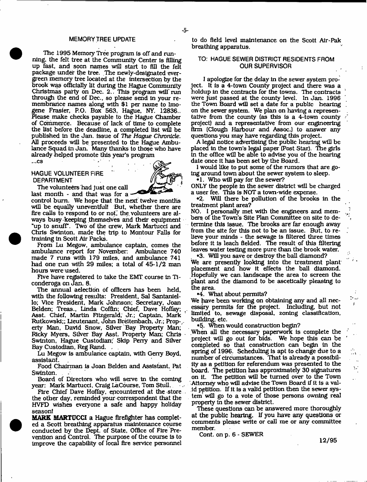### **MEMORY TREE UPDATE**

The 1995 Memory Tree program is off and running, the felt tree at the Community Center Is filling up fast, and soon names will start to fill the felt package under the tree. The newly-designated evergreen memory tree located at the intersection by the brook was officially lit during the Hague Community Christmas party on Dec. 2., This program will' run through the end of Dec., so please send in your remembrance names along with \$1 per name to Imogene Frasier, P.O. Box 563, Hague, NY. 12836.. Please make checks payable to the Hague Chamber of Commerce. Because of lack of time to complete the list before the deadline, a completed list will be published in the Jan. issue of The *Hague Chronicle.* AH proceeds will be presented to the Hague Ambulance Squad In Jan. Many thanks to those who have already helped promote this year's program

# **HAGUE VOLUNTEER FIRE DEPARTMENT**

The volunteers had Just one call

 $...$ c $s$ 



last month - and that was for a control bum . We hope that the next twelve months will be equally uneventful! But, whether there are fire calls to respond to or not, the volunteers are always busy keeping themselves and their equipment "up to snuff". Two of the crew, Mark Martucci and Chris Swtnton, made the trip to Montour Falls for training In Scott Air Packs.

From Lu Megow, ambulance captain, comes the ambulance report for November: Ambulance 740 made 7 runs with 179 miles, and ambulance 741 had one run with 29 miles; a total of 45-1/2 man hours were used.

Five have registered to take the EMT course In Ticonderoga on Jan. 8.

The annual aelection of officers has been held, with the following results: President, Sal Santaniello; Vice President, Mark Johnson; Secretary, Joan Belden; Treas., Linda Coffin; Chief, Dave Hoffay; Asst. Chief. Martin Fitzgerald. Jr.; Captain, Mark Rutkowskl;; Lieutenant, John Brelteribach, Jr.; Prop-, erty Man, David Snow, Silver Bay Property Man; Ricky Myers, Silver Bay Asst. Property Man; Chris Swinton, Hague Custodian; Skip Perry and Silver Bay Custodian, Reg Rand. .

Lu Megow is ambulance captain, with Gerry Boyd, assistant.

Food Chairman is Joan Belden and Assistant, Pat Swinton.

Board of Directors who will serve in the coming year: Mark Martucci, Craig LaCourse, Tom Stull.

Fire Chief Dave Hoffay, encountered at the store the other day, reminded your correspondent that the HVFD wishes everyone a safe and happy holiday season!

**MARK MARTUCCI** a Hague firefighter has completed a Scott breathing apparatus maintenance course conducted by the Dept, of State. Office of Fire Prevention and Control. The purpose of the course Is to improve the capability of local fire service personnel to do field level maintenance on the Scott Alr-Pak breathing apparatus.

# TO: HAGUE SEWER DISTRICT RESIDENTS FROM OUR SUPERVISOR

I apologize for the delay In the sewer system project. It Is a 4-town County project and there was a holdup in the contracts for the towns. The contracts were Just passed at the county level. In Jan. 1996 the Town Board will set a date for a public hearing on the sewer system. We plan on having a representative from the county (as this Is a 4-town county project) and a representative from our engineering firm (Clough Harbour and Assoc.) to answer any questions you may have regarding this project.

A legal notice advertising the public hearing will be placed in the town's legal paper (Post Star). The girls In the office will be able to advise you of the hearing date once it has been set by the Board.

I would like to put some of the rumors that are going around town about the sewer system to sleep.

\*1. Who will pay for the sewer?

ONLY the people in the sewer district will be charged a user fee. This is NOT a town-wide expense.

•2. Will there be pollution of the brooks in the treatment plant area?

NO. I personally met with the engineers and members of the Town's Site Plan Committee on site to determine this issue. The brooks are far enough away from the site for this not to be an Issue. But, to relieve your minds - the sewage is filtered three times before it is leach fielded. The result of this filtering leaves water testing more pure than the brook water.

•3. Will you save or destroy the ball diamond? We are presently looking into the treatment plant placement and how it effects the ball diamond. Hopefully we can, landscape the area to screen the plant and the diamond to be ascetically pleasing to the area.

•4. What about permits?

We fiave been working on obtaining any and all necessary permits for the project. Including, but not ' limited to, sewage disposal, zoning classification, building, etc,

•5. When would construction begin?

.When all the necessary paperwork is complete the project will go out for bids. We hope this can be completed so that construction can begin in the spring of 1996. Scheduling is apt to change due to a number of circumstances. That is already a possibility as a petition for referendum was presented to the board. 'Hie petition has approximately 30 signatures on it. The petition will be turned over to the Town Attorney who will advise the Town Board if it is a valid petition. If it Is a valid petition then the sewer system will go to a vote of those persons owning real property in the sewer district.

These questions can be answered more thoroughly at the public hearing. If you have any questions or comments please write or call me or any committee member.

Cont. on p. 6 - SEWER

**12/95**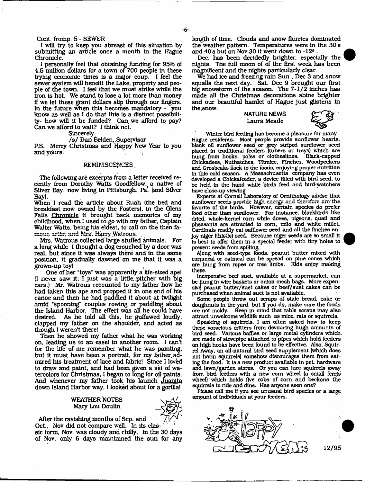#### Cont. fromp. 5 - SEWER

I will try to keep you abreast of this situation by submitting an article once a month In the Hague Chronicle.

I personally feel that obtaining funding for 95% of 4.5 million dollars for a town of 700 people In these trying economic times is a major coup, I feel the sewer system will benefit the Lake, property and people of the town. I feel that we must strike while the iron is hot. We stand to lose a lot more than money if we let these grant dollars slip through our fingers. In the future when this becomes mandatory - you know as well as I do that this is a distinct possibility- how will it be funded? Can. we afford to pay? Can we afford to wait? I think not.

Sincerely..

#### / s / Dan Belden,,Supervisor

P.S. Merry Christmas and Happy New Year to you and yours.

#### REMINISCENCES.

The following are excerpts from a letter received recently from Dorothy Watts Goodfellow, a native of Silver Bay, now living in Pittsburgh, Pa. (and Silver Bay).

When I read the article about Ruah (the bed and breakfast now owned by the Fosters), In the Glens Falls Chronicle it brought back memories of my childhood, when I used to go with my father. Captain Walter Watts, being his eldest, to call on the then famous artist and Mrs. Harry Watrous.

Mrs. Watrous collected large stuffed animals. For a long while I thought a dog crouched by a door was real, but since it was always there and in the same position, it gradually dawned on me that it was a grown-up toy!

One of her "toys" was apparently a life-sized apei (I never saw it; I Just was a little., pitcher with big ears.) Mr. Watrous recounted to my father how he had taken this ape and propped It in one end of his canoe and then he had paddled It about at twilight amid "spooning" couples rowing or paddling about the Island Harbor. The effect was all he could have desired. As he told all this, he guffawed loudly, clapped my father on the shoulder, and acted as though I weren't there!

Then he showed my father what he. was working on, leading us to an easel in another room. I can't for the life of me remember what he was painting, but it must have been a portrait, for my father admired his treatment of lace and fabric! Since I loved to draw and paint, and had been given a set of water colors for Christinas, I began to long for oil paints. And whenever my father took his launch Juanita down Island Harbor way, 1 looked about for a gorilla!

### WEATHER NOTES Mary Lou Doulin



After the ravishing months of Sep. and

Oct., Nov did not compare well. In its classic form, Nov. was cloudy and chilly. In the 30 days of Nov. only 6 days maintained the sun for any length of time. Clouds and snow flurries dominated the weather pattern. Temperatures were in the 30's and 40's but on Nov.30 it went down to -12® .

Dec. has been decidedly brighter, especially the nights. The full moon of of the first week has been magnificent and the nights particularly clear.

We had ice and freezing rain Sun , Dec 3 and snow squalls the next day. Sat. Dec 9 brought our first big snowstorm of the season. The  $7-1/\tilde{2}$  inches has made all the Christmas decorations, shine brighter and our beautiful hamlet of Hague just glistens in the,snow.

> **NATURE NEWS** Laura Meade



Winter bird feeding has become a pleasure for many Hague residents. Most people provide sunflower hearts, black oil sunflower seed or grey striped sunflower seed placed In traditional feeders (tubers or trays) which are hung from hooks, poles or clotheslines. Black-capped Chickadees, Nuthatches, Titmice, Finches. Woodpeckers and Grosbeaks flock to the foods, enjoying proper nutrition In this cold season. A Massachusetts company has even developed a Chickafeeder, a device filled with bird seed, to be held In the hand while birds feed and bird-watchers have close-up viewing.

Experts at Cornell Laboratory of Ornithology advise that sunflower seeds provide high energy and therefore are the favorite of the birds. However, certain species do prefer food other than sunflower. For Instance, blackbirds like dried, whole-kemel com while doves, pigeons, quail and pheasants are attracted to com, mllo and white millet Cardinals readily eat saffiower seed and all the finches enjoy nlgcr (thistle) seed. Because niger seeds are so small it Is best to offer them In a special feeder with tiny holes to prevent seeds from spilling.

Along with seed-type foods, peanut butter mixed with commeal or oatmeal can be spread on pine cones which are hung from ropes or tree limbs. Kids enjoy making these.

Inexpensive beef suet, available at a supermarket, can be hung In wire baskets or onion mesh bags. More expensive peanut butter/suet cakes or beef/suet cakes can be purchased when animal suet is not available.

Some people throw out scraps of stale bread, cake or doqghnuts In the yard, but if you do, make sure the foods are not moldy. Keep In mind that table scraps may also attract unwelcome wildlife such as mice, rats or squirrels.

Speaking of squirrels. I am often asked how to keep these voracious critters from devouring hugh amounts of bird seed. Various baffles or large metal cylinders which, are made of stovepipe attached to pipes which hold feeders on high hooks have been found to be effective. Also, Squirrel Away, an all-natural bird seed supplement (which does not harm squirrels) somehow discourages them from eating the food. It Is a new product available In pet, hardware and lawn/garden stores. Or you can lure squirrels away from bird feeders with a new corn wheel (a small ferris whpel) which holds five cobs of com and beckons the squirrels to ride and dine. Has anyone seen one?

Please call me If you see unusual bird species or a large amount of Individuals at your feeders.

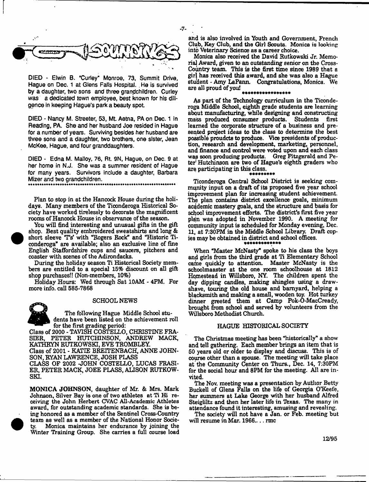

**DIED - Elwin B. "Curley" Monroe, 73, Summit Drive,** Hague on Dec. 1 at Glens Falls Hospital. He is survived **by a daughter, two sons and three grandchildren. Curley was a dedicated town employee, best known for his diligence In keeping Hague's park a beauty spot**

**DIED - Nancy M. Streeter, 53, Mt. Aetna, PA on Dec. 1 in Reading, PA. She and her husband Joe resided in Hague for a number of years. Surviving besides her husband are three sons and a daughter, two brothers, one sister, Jean McKee, Hague, and four granddaughters.**

**DIED - Edna M. Malloy, 76, Rt. 9N, Hague, on Dec. 9 at her home in N.J. She was a summer resident of Hague for many years. Survivors include a daughter, Barbara Mizer and two grandchildren.** 

Plan to stop in at the Hancock House during the holidays. Many members of the Ticonderoga Historical Society have worked tirelessly to decorate the magnificent rooms of Hancock House in observance of the season.

You will find interesting and unusual gifts in the gift shop. Best quality embroidered sweatshirts and long & short sleeve T's' with "Rogers Rock" and "Historic Ticonderoga" are available; also an exclusive line of fine English Staffordshire cups and saucers, pitchers and coaster with scenes of the Adirondacks.

During the holiday season Ti Historical Society members are entitled to a special 15% discount on all gift shop purchases!! (Non-members, 10%)

Holiday Hours: Wed through Sat 10AM - 4PM. For more info, call 585-7868

#### SCHOOL NEWS

The following Hague Middle School students have been listed on the achievement roll for the first grading period:

Class of 2000 - TAVISH COSTELLO, CHRISTINE FRA-SIER, PETER HUTCHINSON, ANDREW MACK, KATHRYN RUTKOWSKI, EVE TROMBLEY.

Class of 2001 - KATIE BREITENBACH, ANNE JOHN-SON, RYAN LAWRENCE, JOSH PLASS

CLASS OF 2002 -JOHN COSTELLO, LUCAS FRASI-ER, PETER MACK, JOEE PLASS, ALISON RUTKOW-SKI.

MONICA JOHNSON, daughter of Mr. & Mrs. Mark Johnson, Silver Bay is one of two athletes at Ti Hi receiving the John Herbert CVAC All-Academic Athletes award, for outstanding academic standards. She is being honored as a member of the Sentinel Cross-Country team as well as a member of the National Honor Society. Monica maintains her endurance by joining the Winter Training Group. She carries a full course load and is also involved in Youth and Government, French Club, Key Club, and the Girl Scouts. Monica is looking into Veterinary Science as a career choice.

- **7**-

Monica also received the David Rutkowski Jr. Memorial Award, given to an outstanding senior on the Cross-Country team. This is the first time since 1989 that a girl has received this award, and she was also a Hague student - Amy LaPann, Congratulations, Monica. We are all proud of you!

#### 

As part of the Technology curriculum in the Ticonderoga Middle School, eighth grade students are learning abqut manufacturing, while designing and constructing mass produced consumer products. Students first learned the corporate structure of a business and presented project ideas to the class to determine the best possible proudcts to produce. Vice presidents of production, research and development, marketing, personnel, and finance and control were voted upon and each class was soon producing products. Greg Fitzgerald and Peter' Hutchinson are two of Hague's eighth graders who are participating in this class.

Ticonderoga Central School District is seeking community input on a draft of its proposed five year school improvement plan for increasing student achievement. The plan contains district excellence goals, minimum academic mastery goals, and the structure and basis for school improvement efforts. The district's first five year plan was adopted in November 1990. A meeting for community input is scheduled for Monday evening, Dec. 11, at 7:30PM in the Middle School Library, Draft copies may be obtained in district and school offices.

When "Master McNasfy" spoke to his class the boys and girls from the third grade at Ti Elementary School came quickly to attention. Master McNasty is the schoolmaaster at the one room schoolhouse at 1812 Homestead in Willsboro, NY. The children spent the day dipping candles, making shingles using a drawshave, touring the old house and barnyard, helping a blacksmith and making a small, wooden toy. Hot turkey dinner greeted them at Camp Pok-O-MaeCready, brought from school and served by volunteers from the Willsboro Methodist Church.

#### HAGUE HISTORICAL SOCIETY

The Christmas meeting has been "historically\*' a show and tell gathering. Each member brings an item that is 60 years old or older to display and discuss. This is of course other than a spouse. The meeting will take place at the Community Center on Thurs., Dec. 14, 7:30PM for the social hour and 8PM for the meeting. All are invited.

The Nov. meeting was a presentation by Author Betty Buckell of Glens Falls on the life of Georgia O'Keefe, her summers at Lake George with her husband Alfred Steigliltz and then her later life in Texas. The many in attendance found it interesting, amusing and revealing.

The society will not have a Jan. or Feb. meeting but will resume in Mar. 1966.... rmc

**12/95**